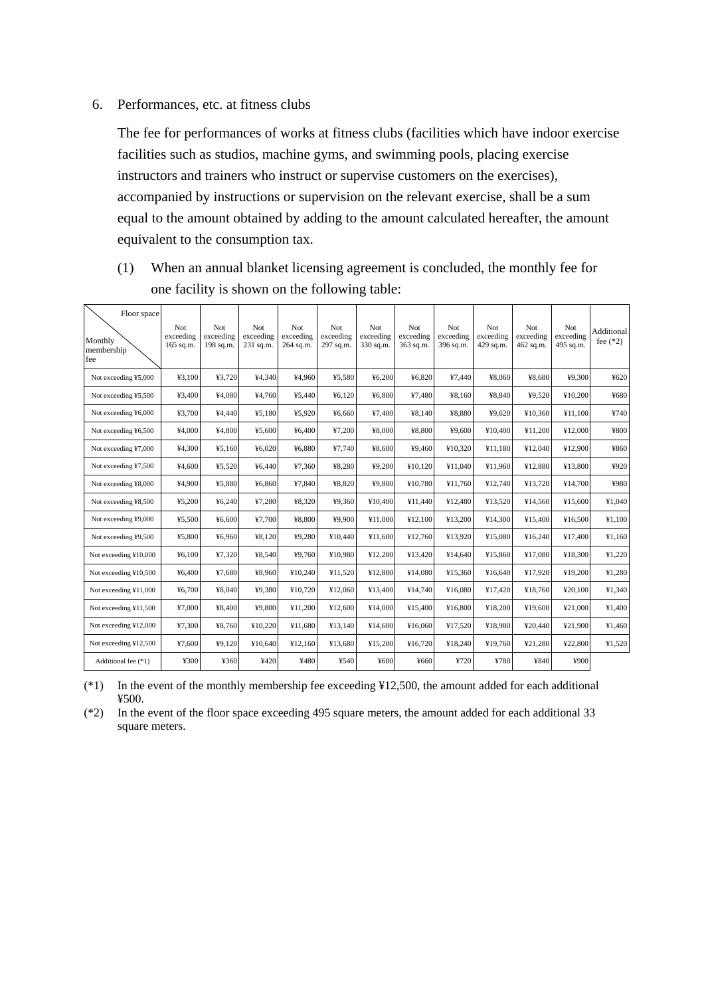#### 6. Performances, etc. at fitness clubs

The fee for performances of works at fitness clubs (facilities which have indoor exercise facilities such as studios, machine gyms, and swimming pools, placing exercise instructors and trainers who instruct or supervise customers on the exercises), accompanied by instructions or supervision on the relevant exercise, shall be a sum equal to the amount obtained by adding to the amount calculated hereafter, the amount equivalent to the consumption tax.

(1) When an annual blanket licensing agreement is concluded, the monthly fee for one facility is shown on the following table:

| Floor space<br>Monthly<br>membership<br>fee | Not.<br>exceeding<br>165 sq.m. | Not<br>exceeding<br>198 sq.m. | Not.<br>exceeding<br>231 sq.m. | Not<br>exceeding<br>264 sq.m. | <b>Not</b><br>exceeding<br>297 sq.m. | <b>Not</b><br>exceeding<br>330 sq.m. | Not<br>exceeding<br>363 sq.m. | Not<br>exceeding<br>396 sq.m. | <b>Not</b><br>exceeding<br>429 sq.m. | Not<br>exceeding<br>462 sq.m. | Not<br>exceeding<br>495 sq.m. | Additional<br>fee $(*2)$ |
|---------------------------------------------|--------------------------------|-------------------------------|--------------------------------|-------------------------------|--------------------------------------|--------------------------------------|-------------------------------|-------------------------------|--------------------------------------|-------------------------------|-------------------------------|--------------------------|
| Not exceeding ¥5,000                        | ¥3,100                         | ¥3,720                        | ¥4,340                         | ¥4.960                        | ¥5,580                               | ¥6,200                               | ¥6.820                        | ¥7.440                        | ¥8,060                               | ¥8.680                        | ¥9.300                        | ¥620                     |
| Not exceeding ¥5,500                        | ¥3,400                         | ¥4,080                        | ¥4,760                         | ¥5,440                        | 46,120                               | ¥6,800                               | ¥7,480                        | ¥8,160                        | ¥8,840                               | ¥9,520                        | ¥10,200                       | ¥680                     |
| Not exceeding ¥6,000                        | ¥3.700                         | ¥4.440                        | 45,180                         | ¥5.920                        | ¥6.660                               | ¥7.400                               | ¥8.140                        | ¥8.880                        | 49.620                               | ¥10.360                       | ¥11.100                       | ¥740                     |
| Not exceeding ¥6,500                        | ¥4,000                         | ¥4,800                        | ¥5,600                         | ¥6,400                        | ¥7,200                               | ¥8,000                               | ¥8,800                        | ¥9,600                        | ¥10,400                              | ¥11,200                       | ¥12,000                       | ¥800                     |
| Not exceeding ¥7,000                        | ¥4,300                         | 45,160                        | ¥6,020                         | ¥6,880                        | ¥7,740                               | ¥8,600                               | ¥9,460                        | ¥10,320                       | ¥11,180                              | ¥12,040                       | ¥12,900                       | ¥860                     |
| Not exceeding ¥7,500                        | ¥4,600                         | ¥5,520                        | ¥6,440                         | ¥7,360                        | ¥8,280                               | ¥9,200                               | ¥10,120                       | ¥11.040                       | ¥11,960                              | ¥12,880                       | ¥13,800                       | ¥920                     |
| Not exceeding ¥8,000                        | ¥4,900                         | ¥5,880                        | ¥6,860                         | ¥7,840                        | ¥8,820                               | ¥9,800                               | ¥10,780                       | ¥11,760                       | ¥12,740                              | ¥13,720                       | ¥14,700                       | ¥980                     |
| Not exceeding ¥8,500                        | 45,200                         | 46,240                        | ¥7,280                         | ¥8,320                        | ¥9,360                               | ¥10,400                              | ¥11,440                       | ¥12,480                       | ¥13,520                              | ¥14.560                       | ¥15,600                       | ¥1,040                   |
| Not exceeding ¥9,000                        | ¥5,500                         | ¥6,600                        | ¥7,700                         | ¥8.800                        | ¥9.900                               | ¥11,000                              | ¥12,100                       | ¥13,200                       | ¥14,300                              | ¥15,400                       | ¥16.500                       | ¥1,100                   |
| Not exceeding ¥9,500                        | ¥5,800                         | ¥6,960                        | ¥8,120                         | ¥9,280                        | ¥10,440                              | ¥11,600                              | ¥12,760                       | ¥13,920                       | ¥15,080                              | ¥16,240                       | ¥17,400                       | ¥1,160                   |
| Not exceeding ¥10,000                       | ¥6,100                         | ¥7,320                        | ¥8,540                         | ¥9.760                        | ¥10,980                              | ¥12,200                              | ¥13,420                       | ¥14,640                       | ¥15,860                              | ¥17.080                       | ¥18,300                       | ¥1,220                   |
| Not exceeding ¥10,500                       | ¥6,400                         | ¥7,680                        | ¥8,960                         | ¥10,240                       | ¥11,520                              | ¥12,800                              | ¥14,080                       | ¥15,360                       | ¥16,640                              | ¥17.920                       | ¥19,200                       | ¥1,280                   |
| Not exceeding ¥11,000                       | ¥6,700                         | ¥8,040                        | ¥9,380                         | ¥10,720                       | ¥12,060                              | ¥13,400                              | ¥14,740                       | ¥16,080                       | ¥17,420                              | ¥18,760                       | ¥20,100                       | ¥1,340                   |
| Not exceeding ¥11,500                       | ¥7,000                         | ¥8,400                        | ¥9,800                         | ¥11,200                       | ¥12,600                              | ¥14,000                              | ¥15,400                       | ¥16.800                       | ¥18,200                              | ¥19.600                       | ¥21,000                       | ¥1.400                   |
| Not exceeding ¥12,000                       | ¥7,300                         | ¥8,760                        | ¥10,220                        | ¥11,680                       | ¥13,140                              | ¥14,600                              | ¥16,060                       | ¥17,520                       | ¥18,980                              | ¥20,440                       | ¥21,900                       | ¥1,460                   |
| Not exceeding ¥12,500                       | ¥7,600                         | 49,120                        | ¥10,640                        | ¥12,160                       | ¥13,680                              | ¥15,200                              | ¥16,720                       | ¥18,240                       | ¥19,760                              | ¥21,280                       | ¥22,800                       | ¥1,520                   |
| Additional fee (*1)                         | ¥300                           | ¥360                          | ¥420                           | ¥480                          | ¥540                                 | ¥600                                 | ¥660                          | ¥720                          | ¥780                                 | ¥840                          | ¥900                          |                          |

(\*1) In the event of the monthly membership fee exceeding ¥12,500, the amount added for each additional ¥500.

(\*2) In the event of the floor space exceeding 495 square meters, the amount added for each additional 33 square meters.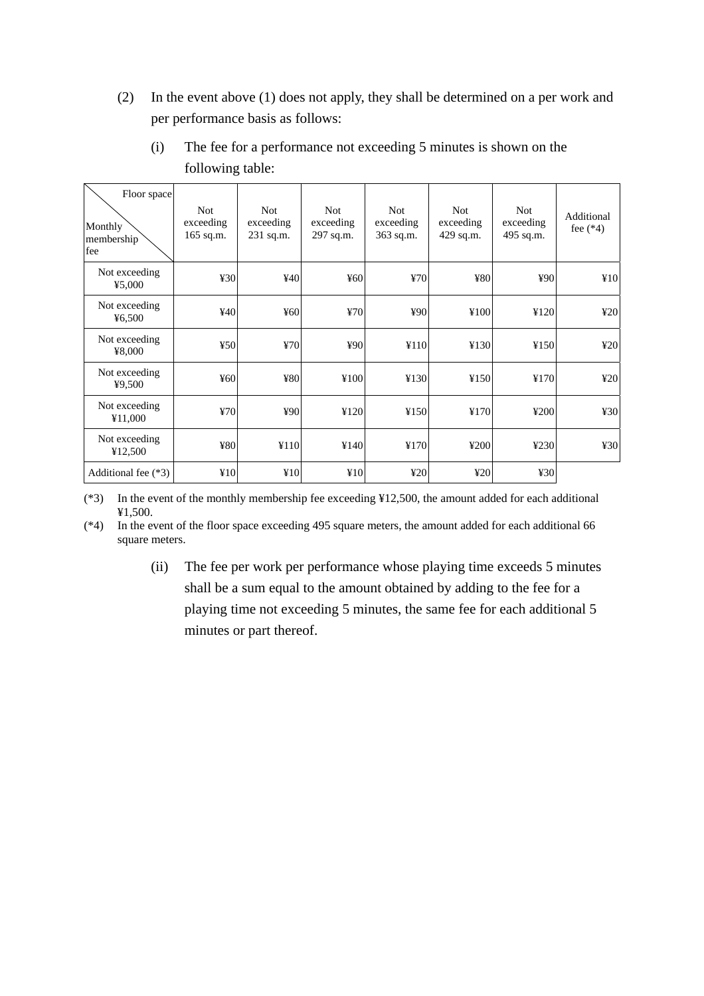(2) In the event above (1) does not apply, they shall be determined on a per work and per performance basis as follows:

| Floor space<br>Monthly<br>membership<br>fee | Not.<br>exceeding<br>$165$ sq.m. | <b>Not</b><br>exceeding<br>$231$ sq.m. | <b>Not</b><br>exceeding<br>297 sq.m. | <b>Not</b><br>exceeding<br>363 sq.m. | <b>Not</b><br>exceeding<br>429 sq.m. | Not.<br>exceeding<br>495 sq.m. | Additional<br>fee $(*4)$ |
|---------------------------------------------|----------------------------------|----------------------------------------|--------------------------------------|--------------------------------------|--------------------------------------|--------------------------------|--------------------------|
| Not exceeding<br>45,000                     | 430                              | 440                                    | 460                                  | 470                                  | ¥80                                  | 490                            | ¥10                      |
| Not exceeding<br>46,500                     | ¥40                              | 460                                    | 470                                  | ¥90                                  | ¥100                                 | ¥120                           | 420                      |
| Not exceeding<br>¥8,000                     | 450                              | 470                                    | ¥90                                  | ¥110                                 | ¥130                                 | ¥150                           | 420                      |
| Not exceeding<br>49,500                     | ¥60                              | ¥80                                    | ¥100                                 | ¥130                                 | ¥150                                 | ¥170                           | 420                      |
| Not exceeding<br>¥11,000                    | 470                              | ¥90                                    | ¥120                                 | ¥150                                 | ¥170                                 | ¥200                           | 430                      |
| Not exceeding<br>¥12,500                    | ¥80                              | ¥110                                   | ¥140                                 | ¥170                                 | ¥200                                 | ¥230                           | 430                      |
| Additional fee (*3)                         | ¥10                              | ¥10                                    | ¥10                                  | 420                                  | 420                                  | 430                            |                          |

(i) The fee for a performance not exceeding 5 minutes is shown on the following table:

(\*3) In the event of the monthly membership fee exceeding ¥12,500, the amount added for each additional ¥1,500.

(\*4) In the event of the floor space exceeding 495 square meters, the amount added for each additional 66 square meters.

> (ii) The fee per work per performance whose playing time exceeds 5 minutes shall be a sum equal to the amount obtained by adding to the fee for a playing time not exceeding 5 minutes, the same fee for each additional 5 minutes or part thereof.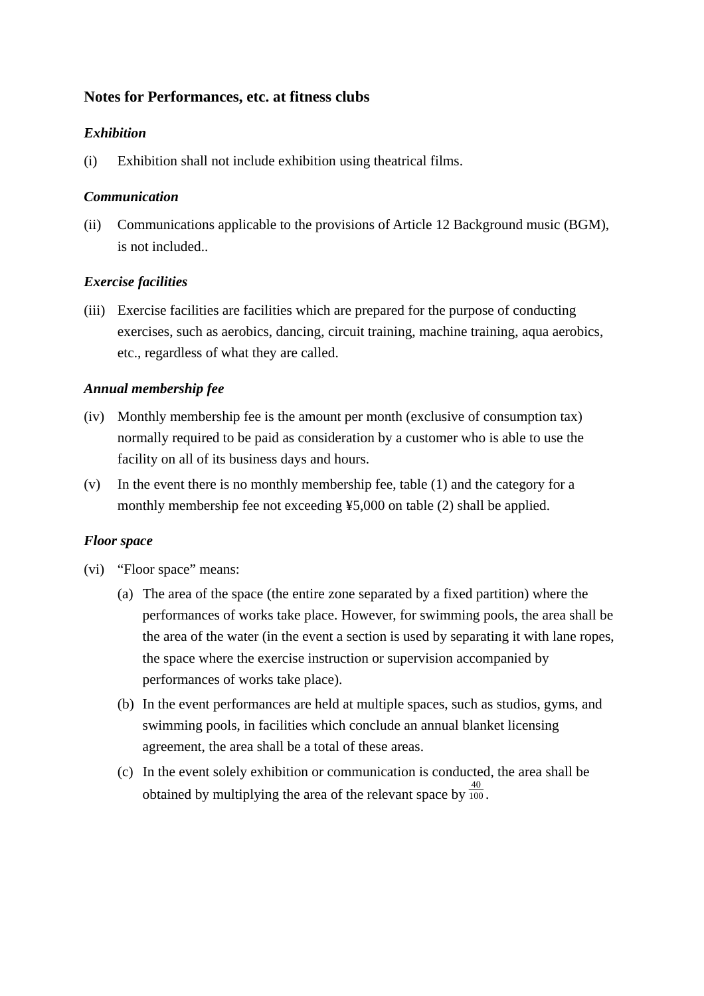# **Notes for Performances, etc. at fitness clubs**

### *Exhibition*

(i) Exhibition shall not include exhibition using theatrical films.

### *Communication*

(ii) Communications applicable to the provisions of Article 12 Background music (BGM), is not included..

## *Exercise facilities*

(iii) Exercise facilities are facilities which are prepared for the purpose of conducting exercises, such as aerobics, dancing, circuit training, machine training, aqua aerobics, etc., regardless of what they are called.

### *Annual membership fee*

- (iv) Monthly membership fee is the amount per month (exclusive of consumption tax) normally required to be paid as consideration by a customer who is able to use the facility on all of its business days and hours.
- (v) In the event there is no monthly membership fee, table (1) and the category for a monthly membership fee not exceeding ¥5,000 on table (2) shall be applied.

#### *Floor space*

- (vi) "Floor space" means:
	- (a) The area of the space (the entire zone separated by a fixed partition) where the performances of works take place. However, for swimming pools, the area shall be the area of the water (in the event a section is used by separating it with lane ropes, the space where the exercise instruction or supervision accompanied by performances of works take place).
	- (b) In the event performances are held at multiple spaces, such as studios, gyms, and swimming pools, in facilities which conclude an annual blanket licensing agreement, the area shall be a total of these areas.
	- (c) In the event solely exhibition or communication is conducted, the area shall be obtained by multiplying the area of the relevant space by  $\frac{40}{100}$ .